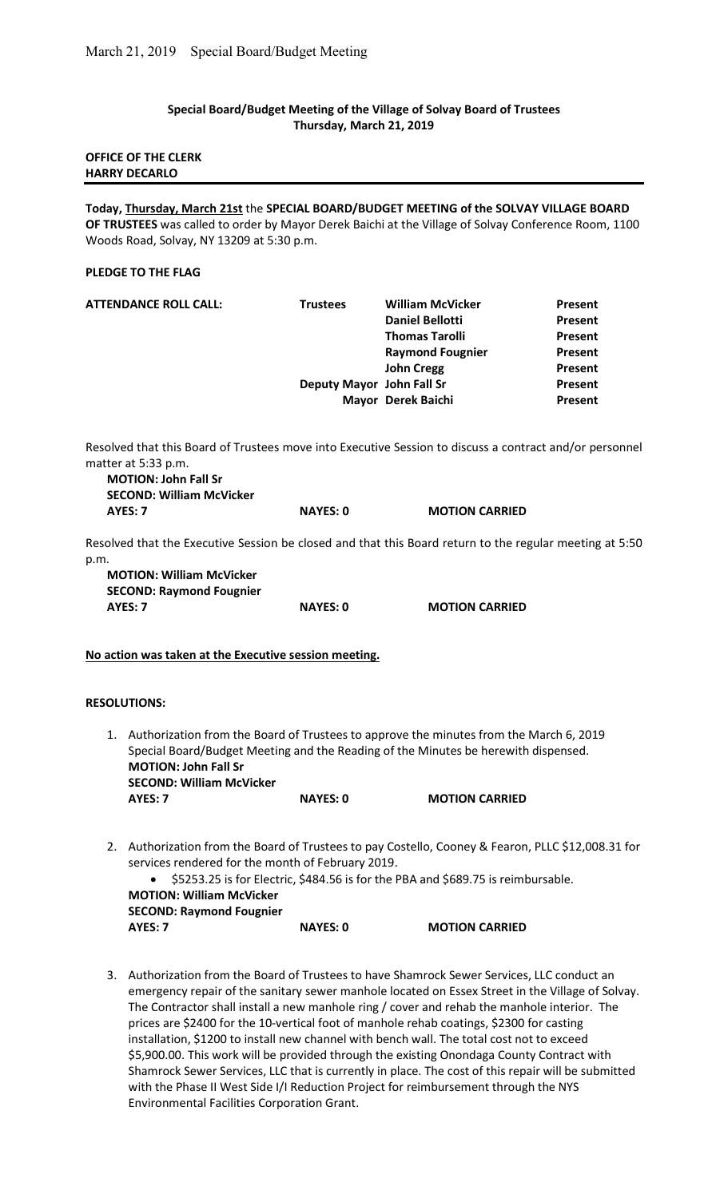## Special Board/Budget Meeting of the Village of Solvay Board of Trustees Thursday, March 21, 2019

## OFFICE OF THE CLERK HARRY DECARLO

Today, Thursday, March 21st the SPECIAL BOARD/BUDGET MEETING of the SOLVAY VILLAGE BOARD OF TRUSTEES was called to order by Mayor Derek Baichi at the Village of Solvay Conference Room, 1100 Woods Road, Solvay, NY 13209 at 5:30 p.m.

#### PLEDGE TO THE FLAG

| <b>ATTENDANCE ROLL CALL:</b> | <b>Trustees</b>           | <b>William McVicker</b> | Present        |
|------------------------------|---------------------------|-------------------------|----------------|
|                              |                           | <b>Daniel Bellotti</b>  | Present        |
|                              |                           | <b>Thomas Tarolli</b>   | <b>Present</b> |
|                              |                           | <b>Raymond Fougnier</b> | Present        |
|                              |                           | <b>John Cregg</b>       | Present        |
|                              | Deputy Mayor John Fall Sr |                         | Present        |
|                              |                           | Mayor Derek Baichi      | Present        |
|                              |                           |                         |                |

Resolved that this Board of Trustees move into Executive Session to discuss a contract and/or personnel matter at 5:33 p.m.

| <b>MOTION: John Fall Sr</b>     |                 |                       |
|---------------------------------|-----------------|-----------------------|
| <b>SECOND: William McVicker</b> |                 |                       |
| AYES: 7                         | <b>NAYES: 0</b> | <b>MOTION CARRIED</b> |

Resolved that the Executive Session be closed and that this Board return to the regular meeting at 5:50 p.m.

MOTION: William McVicker SECOND: Raymond Fougnier AYES: 7 NAYES: 0 MOTION CARRIED

No action was taken at the Executive session meeting.

# RESOLUTIONS:

- 1. Authorization from the Board of Trustees to approve the minutes from the March 6, 2019 Special Board/Budget Meeting and the Reading of the Minutes be herewith dispensed. MOTION: John Fall Sr SECOND: William McVicker AYES: 7 NAYES: 0 MOTION CARRIED
- 2. Authorization from the Board of Trustees to pay Costello, Cooney & Fearon, PLLC \$12,008.31 for services rendered for the month of February 2019.

|         |                                 | • \$5253.25 is for Electric, \$484.56 is for the PBA and \$689.75 is reimbursable. |
|---------|---------------------------------|------------------------------------------------------------------------------------|
|         | <b>MOTION: William McVicker</b> |                                                                                    |
|         | <b>SECOND: Raymond Fougnier</b> |                                                                                    |
| AYES: 7 | NAYES: 0                        | <b>MOTION CARRIED</b>                                                              |

3. Authorization from the Board of Trustees to have Shamrock Sewer Services, LLC conduct an emergency repair of the sanitary sewer manhole located on Essex Street in the Village of Solvay. The Contractor shall install a new manhole ring / cover and rehab the manhole interior. The prices are \$2400 for the 10-vertical foot of manhole rehab coatings, \$2300 for casting installation, \$1200 to install new channel with bench wall. The total cost not to exceed \$5,900.00. This work will be provided through the existing Onondaga County Contract with Shamrock Sewer Services, LLC that is currently in place. The cost of this repair will be submitted with the Phase II West Side I/I Reduction Project for reimbursement through the NYS Environmental Facilities Corporation Grant.